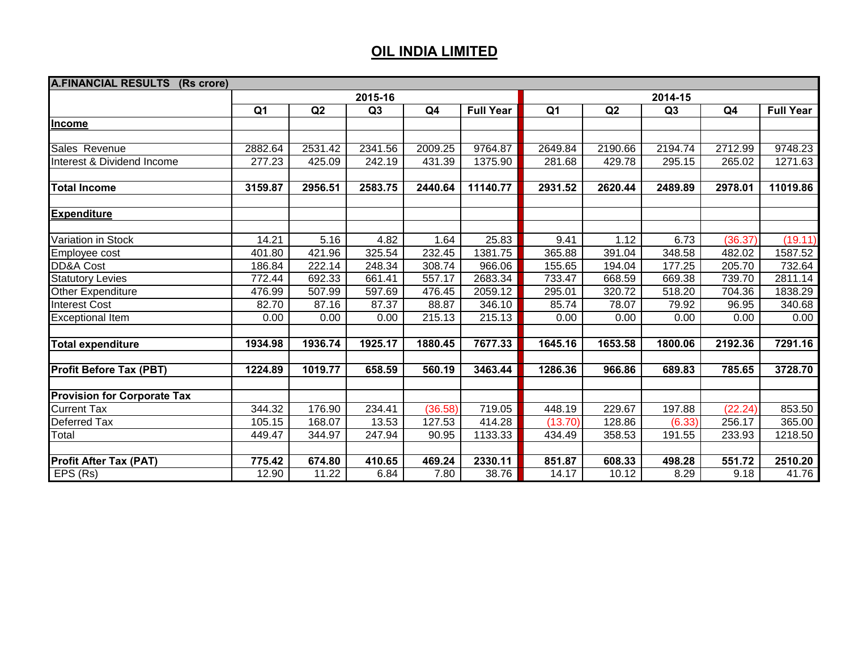| <b>A.FINANCIAL RESULTS</b><br>(Rs crore) |                |         |         |         |                  |                |         |         |                |                  |
|------------------------------------------|----------------|---------|---------|---------|------------------|----------------|---------|---------|----------------|------------------|
|                                          |                |         |         | 2014-15 |                  |                |         |         |                |                  |
|                                          | Q <sub>1</sub> | Q2      | Q3      | Q4      | <b>Full Year</b> | Q <sub>1</sub> | Q2      | Q3      | Q <sub>4</sub> | <b>Full Year</b> |
| Income                                   |                |         |         |         |                  |                |         |         |                |                  |
|                                          |                |         |         |         |                  |                |         |         |                |                  |
| Sales Revenue                            | 2882.64        | 2531.42 | 2341.56 | 2009.25 | 9764.87          | 2649.84        | 2190.66 | 2194.74 | 2712.99        | 9748.23          |
| Interest & Dividend Income               | 277.23         | 425.09  | 242.19  | 431.39  | 1375.90          | 281.68         | 429.78  | 295.15  | 265.02         | 1271.63          |
|                                          |                |         |         |         |                  |                |         |         |                |                  |
| <b>Total Income</b>                      | 3159.87        | 2956.51 | 2583.75 | 2440.64 | 11140.77         | 2931.52        | 2620.44 | 2489.89 | 2978.01        | 11019.86         |
|                                          |                |         |         |         |                  |                |         |         |                |                  |
| <b>Expenditure</b>                       |                |         |         |         |                  |                |         |         |                |                  |
|                                          |                |         |         |         |                  |                |         |         |                |                  |
| Variation in Stock                       | 14.21          | 5.16    | 4.82    | 1.64    | 25.83            | 9.41           | 1.12    | 6.73    | (36.37)        | (19.11)          |
| Employee cost                            | 401.80         | 421.96  | 325.54  | 232.45  | 1381.75          | 365.88         | 391.04  | 348.58  | 482.02         | 1587.52          |
| <b>DD&amp;A Cost</b>                     | 186.84         | 222.14  | 248.34  | 308.74  | 966.06           | 155.65         | 194.04  | 177.25  | 205.70         | 732.64           |
| <b>Statutory Levies</b>                  | 772.44         | 692.33  | 661.41  | 557.17  | 2683.34          | 733.47         | 668.59  | 669.38  | 739.70         | 2811.14          |
| Other Expenditure                        | 476.99         | 507.99  | 597.69  | 476.45  | 2059.12          | 295.01         | 320.72  | 518.20  | 704.36         | 1838.29          |
| <b>Interest Cost</b>                     | 82.70          | 87.16   | 87.37   | 88.87   | 346.10           | 85.74          | 78.07   | 79.92   | 96.95          | 340.68           |
| <b>Exceptional Item</b>                  | 0.00           | 0.00    | 0.00    | 215.13  | 215.13           | 0.00           | 0.00    | 0.00    | 0.00           | 0.00             |
|                                          |                |         |         |         |                  |                |         |         |                |                  |
| <b>Total expenditure</b>                 | 1934.98        | 1936.74 | 1925.17 | 1880.45 | 7677.33          | 1645.16        | 1653.58 | 1800.06 | 2192.36        | 7291.16          |
|                                          |                |         |         |         |                  |                |         |         |                |                  |
| <b>Profit Before Tax (PBT)</b>           | 1224.89        | 1019.77 | 658.59  | 560.19  | 3463.44          | 1286.36        | 966.86  | 689.83  | 785.65         | 3728.70          |
| <b>Provision for Corporate Tax</b>       |                |         |         |         |                  |                |         |         |                |                  |
| <b>Current Tax</b>                       | 344.32         | 176.90  | 234.41  | (36.58) | 719.05           | 448.19         | 229.67  | 197.88  | (22.24)        | 853.50           |
| Deferred Tax                             | 105.15         | 168.07  | 13.53   | 127.53  | 414.28           | (13.70)        | 128.86  | (6.33)  | 256.17         | 365.00           |
| Total                                    | 449.47         | 344.97  | 247.94  | 90.95   | 1133.33          | 434.49         | 358.53  | 191.55  | 233.93         | 1218.50          |
|                                          |                |         |         |         |                  |                |         |         |                |                  |
| <b>Profit After Tax (PAT)</b>            | 775.42         | 674.80  | 410.65  | 469.24  | 2330.11          | 851.87         | 608.33  | 498.28  | 551.72         | 2510.20          |
| EPS (Rs)                                 | 12.90          | 11.22   | 6.84    | 7.80    | 38.76            | 14.17          | 10.12   | 8.29    | 9.18           | 41.76            |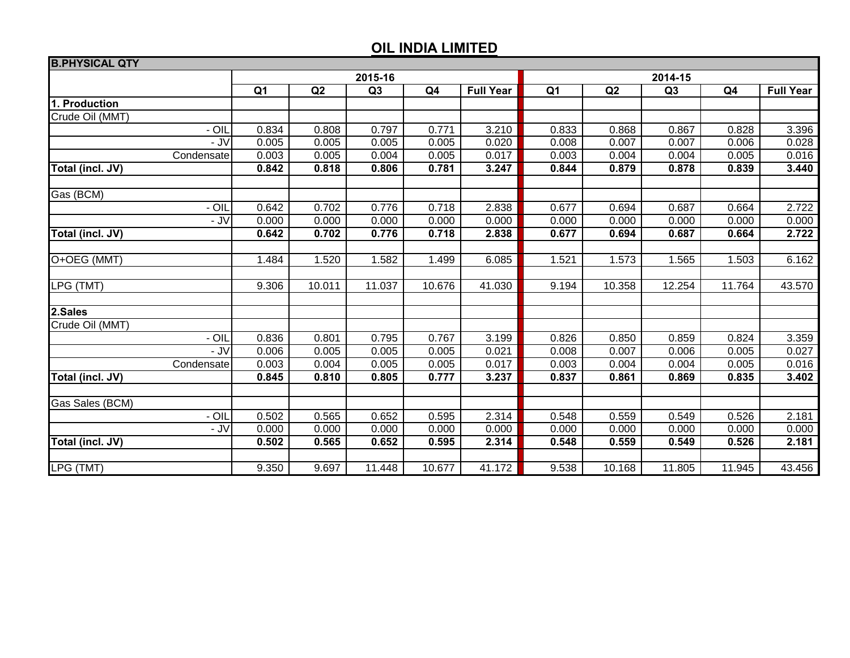| <b>B.PHYSICAL QTY</b> |                |        |                |                |                  |                |        |        |                |                  |  |
|-----------------------|----------------|--------|----------------|----------------|------------------|----------------|--------|--------|----------------|------------------|--|
|                       |                |        | 2015-16        |                |                  | 2014-15        |        |        |                |                  |  |
|                       | Q <sub>1</sub> | Q2     | Q <sub>3</sub> | Q <sub>4</sub> | <b>Full Year</b> | Q <sub>1</sub> | Q2     | Q3     | Q <sub>4</sub> | <b>Full Year</b> |  |
| 1. Production         |                |        |                |                |                  |                |        |        |                |                  |  |
| Crude Oil (MMT)       |                |        |                |                |                  |                |        |        |                |                  |  |
| - OIL                 | 0.834          | 0.808  | 0.797          | 0.771          | 3.210            | 0.833          | 0.868  | 0.867  | 0.828          | 3.396            |  |
| -<br>K                | 0.005          | 0.005  | 0.005          | 0.005          | 0.020            | 0.008          | 0.007  | 0.007  | 0.006          | 0.028            |  |
| Condensate            | 0.003          | 0.005  | 0.004          | 0.005          | 0.017            | 0.003          | 0.004  | 0.004  | 0.005          | 0.016            |  |
| Total (incl. JV)      | 0.842          | 0.818  | 0.806          | 0.781          | 3.247            | 0.844          | 0.879  | 0.878  | 0.839          | 3.440            |  |
|                       |                |        |                |                |                  |                |        |        |                |                  |  |
| Gas (BCM)             |                |        |                |                |                  |                |        |        |                |                  |  |
| - OIL                 | 0.642          | 0.702  | 0.776          | 0.718          | 2.838            | 0.677          | 0.694  | 0.687  | 0.664          | 2.722            |  |
| - JV                  | 0.000          | 0.000  | 0.000          | 0.000          | 0.000            | 0.000          | 0.000  | 0.000  | 0.000          | 0.000            |  |
| Total (incl. JV)      | 0.642          | 0.702  | 0.776          | 0.718          | 2.838            | 0.677          | 0.694  | 0.687  | 0.664          | 2.722            |  |
|                       |                |        |                |                |                  |                |        |        |                |                  |  |
| O+OEG (MMT)           | 1.484          | 1.520  | 1.582          | 1.499          | 6.085            | 1.521          | 1.573  | 1.565  | 1.503          | 6.162            |  |
|                       |                |        |                |                |                  |                |        |        |                |                  |  |
| LPG (TMT)             | 9.306          | 10.011 | 11.037         | 10.676         | 41.030           | 9.194          | 10.358 | 12.254 | 11.764         | 43.570           |  |
|                       |                |        |                |                |                  |                |        |        |                |                  |  |
| 2.Sales               |                |        |                |                |                  |                |        |        |                |                  |  |
| Crude Oil (MMT)       |                |        |                |                |                  |                |        |        |                |                  |  |
| - OIL                 | 0.836          | 0.801  | 0.795          | 0.767          | 3.199            | 0.826          | 0.850  | 0.859  | 0.824          | 3.359            |  |
| - J $V$               | 0.006          | 0.005  | 0.005          | 0.005          | 0.021            | 0.008          | 0.007  | 0.006  | 0.005          | 0.027            |  |
| Condensate            | 0.003          | 0.004  | 0.005          | 0.005          | 0.017            | 0.003          | 0.004  | 0.004  | 0.005          | 0.016            |  |
| Total (incl. JV)      | 0.845          | 0.810  | 0.805          | 0.777          | 3.237            | 0.837          | 0.861  | 0.869  | 0.835          | 3.402            |  |
|                       |                |        |                |                |                  |                |        |        |                |                  |  |
| Gas Sales (BCM)       |                |        |                |                |                  |                |        |        |                |                  |  |
| - OIL                 | 0.502          | 0.565  | 0.652          | 0.595          | 2.314            | 0.548          | 0.559  | 0.549  | 0.526          | 2.181            |  |
| - JV                  | 0.000          | 0.000  | 0.000          | 0.000          | 0.000            | 0.000          | 0.000  | 0.000  | 0.000          | 0.000            |  |
| Total (incl. JV)      | 0.502          | 0.565  | 0.652          | 0.595          | 2.314            | 0.548          | 0.559  | 0.549  | 0.526          | 2.181            |  |
|                       |                |        |                |                |                  |                |        |        |                |                  |  |
| LPG (TMT)             | 9.350          | 9.697  | 11.448         | 10.677         | 41.172           | 9.538          | 10.168 | 11.805 | 11.945         | 43.456           |  |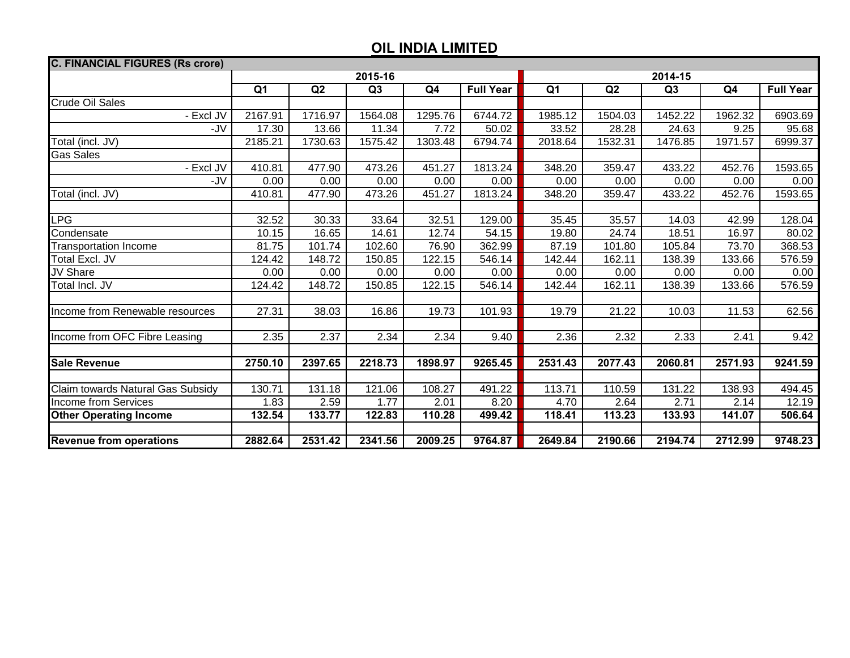| <b>C. FINANCIAL FIGURES (Rs crore)</b> |                |         |         |                |                  |                |         |                |                |                  |  |
|----------------------------------------|----------------|---------|---------|----------------|------------------|----------------|---------|----------------|----------------|------------------|--|
|                                        |                |         | 2015-16 |                |                  | 2014-15        |         |                |                |                  |  |
|                                        | Q <sub>1</sub> | Q2      | Q3      | Q <sub>4</sub> | <b>Full Year</b> | Q <sub>1</sub> | Q2      | Q <sub>3</sub> | Q <sub>4</sub> | <b>Full Year</b> |  |
| Crude Oil Sales                        |                |         |         |                |                  |                |         |                |                |                  |  |
| - Excl JV                              | 2167.91        | 1716.97 | 1564.08 | 1295.76        | 6744.72          | 1985.12        | 1504.03 | 1452.22        | 1962.32        | 6903.69          |  |
| -JV                                    | 17.30          | 13.66   | 11.34   | 7.72           | 50.02            | 33.52          | 28.28   | 24.63          | 9.25           | 95.68            |  |
| Total (incl. JV)                       | 2185.21        | 1730.63 | 1575.42 | 1303.48        | 6794.74          | 2018.64        | 1532.31 | 1476.85        | 1971.57        | 6999.37          |  |
| <b>Gas Sales</b>                       |                |         |         |                |                  |                |         |                |                |                  |  |
| - Excl JV                              | 410.81         | 477.90  | 473.26  | 451.27         | 1813.24          | 348.20         | 359.47  | 433.22         | 452.76         | 1593.65          |  |
| -JV                                    | 0.00           | 0.00    | 0.00    | 0.00           | 0.00             | 0.00           | 0.00    | 0.00           | 0.00           | 0.00             |  |
| Total (incl. JV)                       | 410.81         | 477.90  | 473.26  | 451.27         | 1813.24          | 348.20         | 359.47  | 433.22         | 452.76         | 1593.65          |  |
|                                        |                |         |         |                |                  |                |         |                |                |                  |  |
| <b>LPG</b>                             | 32.52          | 30.33   | 33.64   | 32.51          | 129.00           | 35.45          | 35.57   | 14.03          | 42.99          | 128.04           |  |
| Condensate                             | 10.15          | 16.65   | 14.61   | 12.74          | 54.15            | 19.80          | 24.74   | 18.51          | 16.97          | 80.02            |  |
| <b>Transportation Income</b>           | 81.75          | 101.74  | 102.60  | 76.90          | 362.99           | 87.19          | 101.80  | 105.84         | 73.70          | 368.53           |  |
| Total Excl. JV                         | 124.42         | 148.72  | 150.85  | 122.15         | 546.14           | 142.44         | 162.11  | 138.39         | 133.66         | 576.59           |  |
| <b>JV Share</b>                        | 0.00           | 0.00    | 0.00    | 0.00           | 0.00             | 0.00           | 0.00    | 0.00           | 0.00           | 0.00             |  |
| Total Incl. JV                         | 124.42         | 148.72  | 150.85  | 122.15         | 546.14           | 142.44         | 162.11  | 138.39         | 133.66         | 576.59           |  |
|                                        |                |         |         |                |                  |                |         |                |                |                  |  |
| Income from Renewable resources        | 27.31          | 38.03   | 16.86   | 19.73          | 101.93           | 19.79          | 21.22   | 10.03          | 11.53          | 62.56            |  |
|                                        |                |         |         |                |                  |                |         |                |                |                  |  |
| Income from OFC Fibre Leasing          | 2.35           | 2.37    | 2.34    | 2.34           | 9.40             | 2.36           | 2.32    | 2.33           | 2.41           | 9.42             |  |
|                                        |                |         |         |                |                  |                |         |                |                |                  |  |
| <b>Sale Revenue</b>                    | 2750.10        | 2397.65 | 2218.73 | 1898.97        | 9265.45          | 2531.43        | 2077.43 | 2060.81        | 2571.93        | 9241.59          |  |
|                                        |                |         |         |                |                  |                |         |                |                |                  |  |
| Claim towards Natural Gas Subsidy      | 130.71         | 131.18  | 121.06  | 108.27         | 491.22           | 113.71         | 110.59  | 131.22         | 138.93         | 494.45           |  |
| Income from Services                   | 1.83           | 2.59    | 1.77    | 2.01           | 8.20             | 4.70           | 2.64    | 2.71           | 2.14           | 12.19            |  |
| <b>Other Operating Income</b>          | 132.54         | 133.77  | 122.83  | 110.28         | 499.42           | 118.41         | 113.23  | 133.93         | 141.07         | 506.64           |  |
|                                        |                |         |         |                |                  |                |         |                |                |                  |  |
| <b>Revenue from operations</b>         | 2882.64        | 2531.42 | 2341.56 | 2009.25        | 9764.87          | 2649.84        | 2190.66 | 2194.74        | 2712.99        | 9748.23          |  |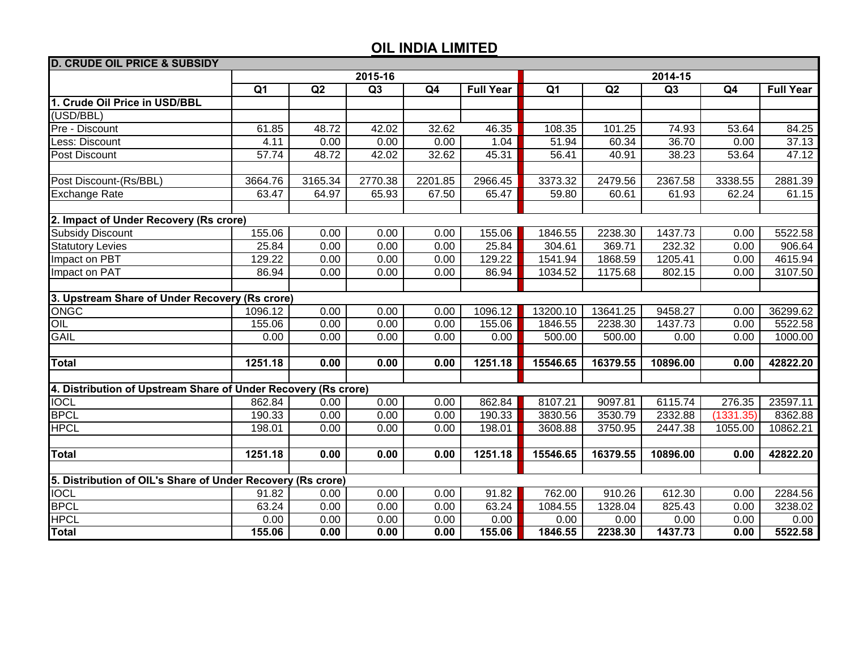| <b>D. CRUDE OIL PRICE &amp; SUBSIDY</b>                        |                |         |         |         |                  |                |          |          |           |                  |  |  |
|----------------------------------------------------------------|----------------|---------|---------|---------|------------------|----------------|----------|----------|-----------|------------------|--|--|
|                                                                | 2015-16        |         |         |         |                  | 2014-15        |          |          |           |                  |  |  |
|                                                                | Q <sub>1</sub> | Q2      | Q3      | Q4      | <b>Full Year</b> | Q <sub>1</sub> | Q2       | Q3       | Q4        | <b>Full Year</b> |  |  |
| 1. Crude Oil Price in USD/BBL                                  |                |         |         |         |                  |                |          |          |           |                  |  |  |
| (USD/BBL)                                                      |                |         |         |         |                  |                |          |          |           |                  |  |  |
| Pre - Discount                                                 | 61.85          | 48.72   | 42.02   | 32.62   | 46.35            | 108.35         | 101.25   | 74.93    | 53.64     | 84.25            |  |  |
| Less: Discount                                                 | 4.11           | 0.00    | 0.00    | 0.00    | 1.04             | 51.94          | 60.34    | 36.70    | 0.00      | 37.13            |  |  |
| Post Discount                                                  | 57.74          | 48.72   | 42.02   | 32.62   | 45.31            | 56.41          | 40.91    | 38.23    | 53.64     | 47.12            |  |  |
|                                                                |                |         |         |         |                  |                |          |          |           |                  |  |  |
| Post Discount-(Rs/BBL)                                         | 3664.76        | 3165.34 | 2770.38 | 2201.85 | 2966.45          | 3373.32        | 2479.56  | 2367.58  | 3338.55   | 2881.39          |  |  |
| <b>Exchange Rate</b>                                           | 63.47          | 64.97   | 65.93   | 67.50   | 65.47            | 59.80          | 60.61    | 61.93    | 62.24     | 61.15            |  |  |
|                                                                |                |         |         |         |                  |                |          |          |           |                  |  |  |
| 2. Impact of Under Recovery (Rs crore)                         |                |         |         |         |                  |                |          |          |           |                  |  |  |
| <b>Subsidy Discount</b>                                        | 155.06         | 0.00    | 0.00    | 0.00    | 155.06           | 1846.55        | 2238.30  | 1437.73  | 0.00      | 5522.58          |  |  |
| <b>Statutory Levies</b>                                        | 25.84          | 0.00    | 0.00    | 0.00    | 25.84            | 304.61         | 369.71   | 232.32   | 0.00      | 906.64           |  |  |
| Impact on PBT                                                  | 129.22         | 0.00    | 0.00    | 0.00    | 129.22           | 1541.94        | 1868.59  | 1205.41  | 0.00      | 4615.94          |  |  |
| Impact on PAT                                                  | 86.94          | 0.00    | 0.00    | 0.00    | 86.94            | 1034.52        | 1175.68  | 802.15   | 0.00      | 3107.50          |  |  |
|                                                                |                |         |         |         |                  |                |          |          |           |                  |  |  |
| 3. Upstream Share of Under Recovery (Rs crore)                 |                |         |         |         |                  |                |          |          |           |                  |  |  |
| <b>ONGC</b>                                                    | 1096.12        | 0.00    | 0.00    | 0.00    | 1096.12          | 13200.10       | 13641.25 | 9458.27  | 0.00      | 36299.62         |  |  |
| OIL                                                            | 155.06         | 0.00    | 0.00    | 0.00    | 155.06           | 1846.55        | 2238.30  | 1437.73  | 0.00      | 5522.58          |  |  |
| <b>GAIL</b>                                                    | 0.00           | 0.00    | 0.00    | 0.00    | 0.00             | 500.00         | 500.00   | 0.00     | 0.00      | 1000.00          |  |  |
|                                                                |                |         |         |         |                  |                |          |          |           |                  |  |  |
| <b>Total</b>                                                   | 1251.18        | 0.00    | 0.00    | 0.00    | 1251.18          | 15546.65       | 16379.55 | 10896.00 | 0.00      | 42822.20         |  |  |
|                                                                |                |         |         |         |                  |                |          |          |           |                  |  |  |
| 4. Distribution of Upstream Share of Under Recovery (Rs crore) |                |         |         |         |                  |                |          |          |           |                  |  |  |
| <b>IOCL</b>                                                    | 862.84         | 0.00    | 0.00    | 0.00    | 862.84           | 8107.21        | 9097.81  | 6115.74  | 276.35    | 23597.11         |  |  |
| <b>BPCL</b>                                                    | 190.33         | 0.00    | 0.00    | 0.00    | 190.33           | 3830.56        | 3530.79  | 2332.88  | (1331.35) | 8362.88          |  |  |
| <b>HPCL</b>                                                    | 198.01         | 0.00    | 0.00    | 0.00    | 198.01           | 3608.88        | 3750.95  | 2447.38  | 1055.00   | 10862.21         |  |  |
|                                                                |                |         |         |         |                  |                |          |          |           |                  |  |  |
| <b>Total</b>                                                   | 1251.18        | 0.00    | 0.00    | 0.00    | 1251.18          | 15546.65       | 16379.55 | 10896.00 | 0.00      | 42822.20         |  |  |
|                                                                |                |         |         |         |                  |                |          |          |           |                  |  |  |
| 5. Distribution of OIL's Share of Under Recovery (Rs crore)    |                |         |         |         |                  |                |          |          |           |                  |  |  |
| <b>IOCL</b>                                                    | 91.82          | 0.00    | 0.00    | 0.00    | 91.82            | 762.00         | 910.26   | 612.30   | 0.00      | 2284.56          |  |  |
| <b>BPCL</b>                                                    | 63.24          | 0.00    | 0.00    | 0.00    | 63.24            | 1084.55        | 1328.04  | 825.43   | 0.00      | 3238.02          |  |  |
| <b>HPCL</b>                                                    | 0.00           | 0.00    | 0.00    | 0.00    | 0.00             | 0.00           | 0.00     | 0.00     | 0.00      | 0.00             |  |  |
| <b>Total</b>                                                   | 155.06         | 0.00    | 0.00    | 0.00    | 155.06           | 1846.55        | 2238.30  | 1437.73  | 0.00      | 5522.58          |  |  |